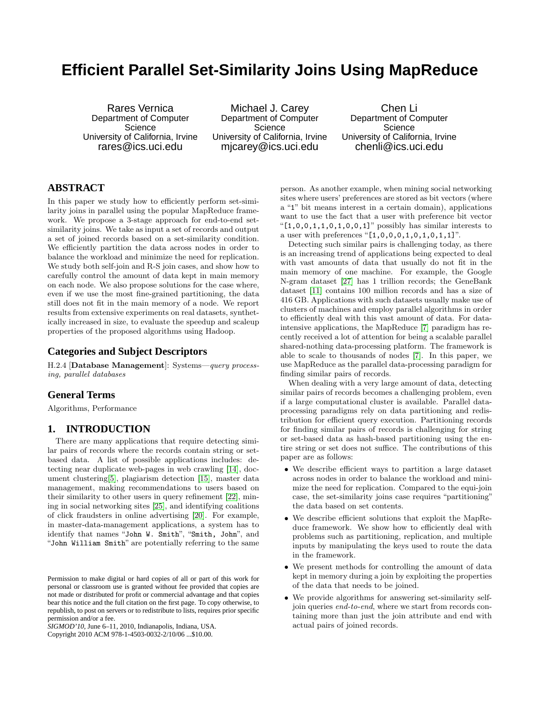## **Efficient Parallel Set-Similarity Joins Using MapReduce**

Rares Vernica Department of Computer Science University of California, Irvine rares@ics.uci.edu

Michael J. Carey Department of Computer Science University of California, Irvine mjcarey@ics.uci.edu

Chen Li Department of Computer Science University of California, Irvine chenli@ics.uci.edu

## **ABSTRACT**

In this paper we study how to efficiently perform set-similarity joins in parallel using the popular MapReduce framework. We propose a 3-stage approach for end-to-end setsimilarity joins. We take as input a set of records and output a set of joined records based on a set-similarity condition. We efficiently partition the data across nodes in order to balance the workload and minimize the need for replication. We study both self-join and R-S join cases, and show how to carefully control the amount of data kept in main memory on each node. We also propose solutions for the case where, even if we use the most fine-grained partitioning, the data still does not fit in the main memory of a node. We report results from extensive experiments on real datasets, synthetically increased in size, to evaluate the speedup and scaleup properties of the proposed algorithms using Hadoop.

## **Categories and Subject Descriptors**

H.2.4 [Database Management]: Systems—query processing, parallel databases

## **General Terms**

Algorithms, Performance

## **1. INTRODUCTION**

There are many applications that require detecting similar pairs of records where the records contain string or setbased data. A list of possible applications includes: detecting near duplicate web-pages in web crawling [\[14\]](#page-11-0), document clustering[\[5\]](#page-11-1), plagiarism detection [\[15\]](#page-11-2), master data management, making recommendations to users based on their similarity to other users in query refinement [\[22\]](#page-11-3), mining in social networking sites [\[25\]](#page-11-4), and identifying coalitions of click fraudsters in online advertising [\[20\]](#page-11-5). For example, in master-data-management applications, a system has to identify that names "John W. Smith", "Smith, John", and "John William Smith" are potentially referring to the same

*SIGMOD'10,* June 6–11, 2010, Indianapolis, Indiana, USA.

Copyright 2010 ACM 978-1-4503-0032-2/10/06 ...\$10.00.

person. As another example, when mining social networking sites where users' preferences are stored as bit vectors (where a "1" bit means interest in a certain domain), applications want to use the fact that a user with preference bit vector " $[1,0,0,1,1,0,1,0,0,1]$ " possibly has similar interests to a user with preferences "[1,0,0,0,1,0,1,0,1,1]".

Detecting such similar pairs is challenging today, as there is an increasing trend of applications being expected to deal with vast amounts of data that usually do not fit in the main memory of one machine. For example, the Google N-gram dataset [\[27\]](#page-11-6) has 1 trillion records; the GeneBank dataset [\[11\]](#page-11-7) contains 100 million records and has a size of 416 GB. Applications with such datasets usually make use of clusters of machines and employ parallel algorithms in order to efficiently deal with this vast amount of data. For dataintensive applications, the MapReduce [\[7\]](#page-11-8) paradigm has recently received a lot of attention for being a scalable parallel shared-nothing data-processing platform. The framework is able to scale to thousands of nodes [\[7\]](#page-11-8). In this paper, we use MapReduce as the parallel data-processing paradigm for finding similar pairs of records.

When dealing with a very large amount of data, detecting similar pairs of records becomes a challenging problem, even if a large computational cluster is available. Parallel dataprocessing paradigms rely on data partitioning and redistribution for efficient query execution. Partitioning records for finding similar pairs of records is challenging for string or set-based data as hash-based partitioning using the entire string or set does not suffice. The contributions of this paper are as follows:

- We describe efficient ways to partition a large dataset across nodes in order to balance the workload and minimize the need for replication. Compared to the equi-join case, the set-similarity joins case requires "partitioning" the data based on set contents.
- We describe efficient solutions that exploit the MapReduce framework. We show how to efficiently deal with problems such as partitioning, replication, and multiple inputs by manipulating the keys used to route the data in the framework.
- We present methods for controlling the amount of data kept in memory during a join by exploiting the properties of the data that needs to be joined.
- We provide algorithms for answering set-similarity selfjoin queries end-to-end, where we start from records containing more than just the join attribute and end with actual pairs of joined records.

Permission to make digital or hard copies of all or part of this work for personal or classroom use is granted without fee provided that copies are not made or distributed for profit or commercial advantage and that copies bear this notice and the full citation on the first page. To copy otherwise, to republish, to post on servers or to redistribute to lists, requires prior specific permission and/or a fee.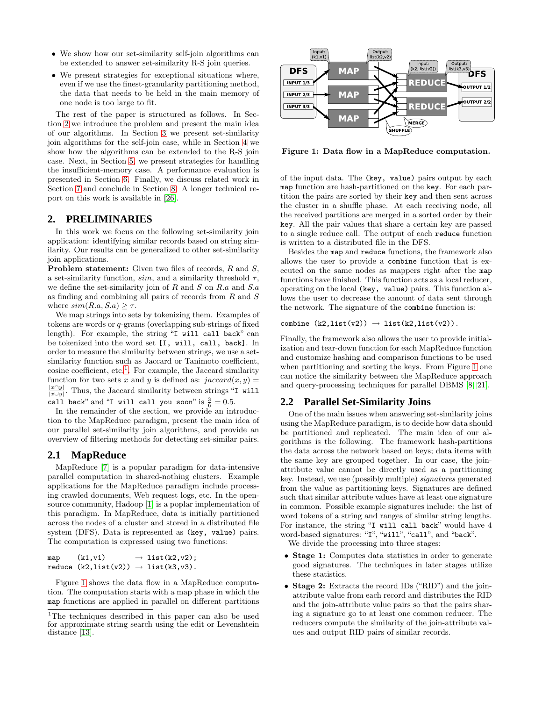- We show how our set-similarity self-join algorithms can be extended to answer set-similarity R-S join queries.
- We present strategies for exceptional situations where, even if we use the finest-granularity partitioning method, the data that needs to be held in the main memory of one node is too large to fit.

The rest of the paper is structured as follows. In Section [2](#page-1-0) we introduce the problem and present the main idea of our algorithms. In Section [3](#page-2-0) we present set-similarity join algorithms for the self-join case, while in Section [4](#page-4-0) we show how the algorithms can be extended to the R-S join case. Next, in Section [5,](#page-6-0) we present strategies for handling the insufficient-memory case. A performance evaluation is presented in Section [6.](#page-6-1) Finally, we discuss related work in Section [7](#page-10-0) and conclude in Section [8.](#page-11-9) A longer technical report on this work is available in [\[26\]](#page-11-10).

## <span id="page-1-0"></span>**2. PRELIMINARIES**

In this work we focus on the following set-similarity join application: identifying similar records based on string similarity. Our results can be generalized to other set-similarity join applications.

Problem statement: Given two files of records, R and S, a set-similarity function, sim, and a similarity threshold  $\tau$ , we define the set-similarity join of  $R$  and  $S$  on  $R.a$  and  $S.a$ as finding and combining all pairs of records from R and S where  $sim(R.a, S.a) \geq \tau$ .

We map strings into sets by tokenizing them. Examples of tokens are words or  $q$ -grams (overlapping sub-strings of fixed length). For example, the string "I will call back" can be tokenized into the word set [I, will, call, back]. In order to measure the similarity between strings, we use a setsimilarity function such as Jaccard or Tanimoto coefficient, cosine coefficient, etc.<sup>[1](#page-1-1)</sup>. For example, the Jaccard similarity function for two sets x and y is defined as:  $jaccard(x, y) =$  $\frac{|x \cap y|}{|x \cup y|}$ . Thus, the Jaccard similarity between strings "I will call back" and "I will call you soon" is  $\frac{3}{6} = 0.5$ .

In the remainder of the section, we provide an introduction to the MapReduce paradigm, present the main idea of our parallel set-similarity join algorithms, and provide an overview of filtering methods for detecting set-similar pairs.

#### **2.1 MapReduce**

MapReduce [\[7\]](#page-11-8) is a popular paradigm for data-intensive parallel computation in shared-nothing clusters. Example applications for the MapReduce paradigm include processing crawled documents, Web request logs, etc. In the opensource community, Hadoop [\[1\]](#page-11-11) is a poplar implementation of this paradigm. In MapReduce, data is initially partitioned across the nodes of a cluster and stored in a distributed file system (DFS). Data is represented as (key, value) pairs. The computation is expressed using two functions:

map  $(k1, v1)$   $\rightarrow$  list(k2, v2); reduce  $(k2, list(v2)) \rightarrow list(k3, v3)$ .

Figure [1](#page-1-2) shows the data flow in a MapReduce computation. The computation starts with a map phase in which the map functions are applied in parallel on different partitions



<span id="page-1-2"></span>Figure 1: Data flow in a MapReduce computation.

of the input data. The (key, value) pairs output by each map function are hash-partitioned on the key. For each partition the pairs are sorted by their key and then sent across the cluster in a shuffle phase. At each receiving node, all the received partitions are merged in a sorted order by their key. All the pair values that share a certain key are passed to a single reduce call. The output of each reduce function is written to a distributed file in the DFS.

Besides the map and reduce functions, the framework also allows the user to provide a combine function that is executed on the same nodes as mappers right after the map functions have finished. This function acts as a local reducer, operating on the local (key, value) pairs. This function allows the user to decrease the amount of data sent through the network. The signature of the combine function is:

combine  $(k2, list(v2)) \rightarrow list(k2, list(v2))$ .

Finally, the framework also allows the user to provide initialization and tear-down function for each MapReduce function and customize hashing and comparison functions to be used when partitioning and sorting the keys. From Figure [1](#page-1-2) one can notice the similarity between the MapReduce approach and query-processing techniques for parallel DBMS [\[8,](#page-11-13) [21\]](#page-11-14).

## **2.2 Parallel Set-Similarity Joins**

One of the main issues when answering set-similarity joins using the MapReduce paradigm, is to decide how data should be partitioned and replicated. The main idea of our algorithms is the following. The framework hash-partitions the data across the network based on keys; data items with the same key are grouped together. In our case, the joinattribute value cannot be directly used as a partitioning key. Instead, we use (possibly multiple) signatures generated from the value as partitioning keys. Signatures are defined such that similar attribute values have at least one signature in common. Possible example signatures include: the list of word tokens of a string and ranges of similar string lengths. For instance, the string "I will call back" would have 4 word-based signatures: "I", "will", "call", and "back". We divide the processing into three stages:

• Stage 1: Computes data statistics in order to generate good signatures. The techniques in later stages utilize these statistics.

• Stage 2: Extracts the record IDs ("RID") and the joinattribute value from each record and distributes the RID and the join-attribute value pairs so that the pairs sharing a signature go to at least one common reducer. The reducers compute the similarity of the join-attribute values and output RID pairs of similar records.

<span id="page-1-1"></span><sup>&</sup>lt;sup>1</sup>The techniques described in this paper can also be used for approximate string search using the edit or Levenshtein distance [\[13\]](#page-11-12).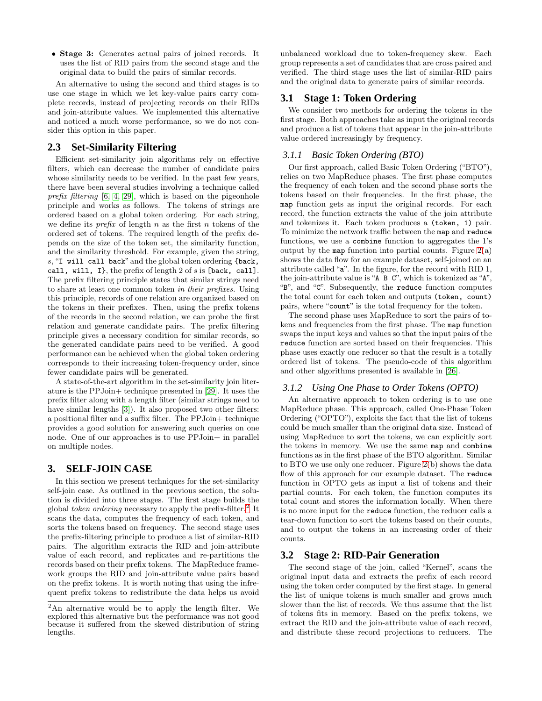• Stage 3: Generates actual pairs of joined records. It uses the list of RID pairs from the second stage and the original data to build the pairs of similar records.

An alternative to using the second and third stages is to use one stage in which we let key-value pairs carry complete records, instead of projecting records on their RIDs and join-attribute values. We implemented this alternative and noticed a much worse performance, so we do not consider this option in this paper.

## **2.3 Set-Similarity Filtering**

Efficient set-similarity join algorithms rely on effective filters, which can decrease the number of candidate pairs whose similarity needs to be verified. In the past few years, there have been several studies involving a technique called prefix filtering [\[6,](#page-11-15) [4,](#page-11-16) [29\]](#page-11-17), which is based on the pigeonhole principle and works as follows. The tokens of strings are ordered based on a global token ordering. For each string, we define its *prefix* of length  $n$  as the first  $n$  tokens of the ordered set of tokens. The required length of the prefix depends on the size of the token set, the similarity function, and the similarity threshold. For example, given the string, s, "I will call back" and the global token ordering {back, call, will, I}, the prefix of length  $2$  of  $s$  is [back, call]. The prefix filtering principle states that similar strings need to share at least one common token in their prefixes. Using this principle, records of one relation are organized based on the tokens in their prefixes. Then, using the prefix tokens of the records in the second relation, we can probe the first relation and generate candidate pairs. The prefix filtering principle gives a necessary condition for similar records, so the generated candidate pairs need to be verified. A good performance can be achieved when the global token ordering corresponds to their increasing token-frequency order, since fewer candidate pairs will be generated.

A state-of-the-art algorithm in the set-similarity join literature is the PPJoin+ technique presented in [\[29\]](#page-11-17). It uses the prefix filter along with a length filter (similar strings need to have similar lengths [\[3\]](#page-11-18)). It also proposed two other filters: a positional filter and a suffix filter. The PPJoin+ technique provides a good solution for answering such queries on one node. One of our approaches is to use PPJoin+ in parallel on multiple nodes.

## <span id="page-2-0"></span>**3. SELF-JOIN CASE**

In this section we present techniques for the set-similarity self-join case. As outlined in the previous section, the solution is divided into three stages. The first stage builds the global *token ordering* necessary to apply the prefix-filter.<sup>[2](#page-2-1)</sup> It scans the data, computes the frequency of each token, and sorts the tokens based on frequency. The second stage uses the prefix-filtering principle to produce a list of similar-RID pairs. The algorithm extracts the RID and join-attribute value of each record, and replicates and re-partitions the records based on their prefix tokens. The MapReduce framework groups the RID and join-attribute value pairs based on the prefix tokens. It is worth noting that using the infrequent prefix tokens to redistribute the data helps us avoid

unbalanced workload due to token-frequency skew. Each group represents a set of candidates that are cross paired and verified. The third stage uses the list of similar-RID pairs and the original data to generate pairs of similar records.

## **3.1 Stage 1: Token Ordering**

We consider two methods for ordering the tokens in the first stage. Both approaches take as input the original records and produce a list of tokens that appear in the join-attribute value ordered increasingly by frequency.

#### *3.1.1 Basic Token Ordering (BTO)*

Our first approach, called Basic Token Ordering ("BTO"), relies on two MapReduce phases. The first phase computes the frequency of each token and the second phase sorts the tokens based on their frequencies. In the first phase, the map function gets as input the original records. For each record, the function extracts the value of the join attribute and tokenizes it. Each token produces a (token, 1) pair. To minimize the network traffic between the map and reduce functions, we use a combine function to aggregates the 1's output by the map function into partial counts. Figure  $2(a)$ shows the data flow for an example dataset, self-joined on an attribute called "a". In the figure, for the record with RID 1, the join-attribute value is "A B C", which is tokenized as "A", "B", and "C". Subsequently, the reduce function computes the total count for each token and outputs (token, count) pairs, where "count" is the total frequency for the token.

The second phase uses MapReduce to sort the pairs of tokens and frequencies from the first phase. The map function swaps the input keys and values so that the input pairs of the reduce function are sorted based on their frequencies. This phase uses exactly one reducer so that the result is a totally ordered list of tokens. The pseudo-code of this algorithm and other algorithms presented is available in [\[26\]](#page-11-10).

#### <span id="page-2-3"></span>*3.1.2 Using One Phase to Order Tokens (OPTO)*

An alternative approach to token ordering is to use one MapReduce phase. This approach, called One-Phase Token Ordering ("OPTO"), exploits the fact that the list of tokens could be much smaller than the original data size. Instead of using MapReduce to sort the tokens, we can explicitly sort the tokens in memory. We use the same map and combine functions as in the first phase of the BTO algorithm. Similar to BTO we use only one reducer. Figure [2\(](#page-3-0)b) shows the data flow of this approach for our example dataset. The reduce function in OPTO gets as input a list of tokens and their partial counts. For each token, the function computes its total count and stores the information locally. When there is no more input for the reduce function, the reducer calls a tear-down function to sort the tokens based on their counts, and to output the tokens in an increasing order of their counts.

#### <span id="page-2-2"></span>**3.2 Stage 2: RID-Pair Generation**

The second stage of the join, called "Kernel", scans the original input data and extracts the prefix of each record using the token order computed by the first stage. In general the list of unique tokens is much smaller and grows much slower than the list of records. We thus assume that the list of tokens fits in memory. Based on the prefix tokens, we extract the RID and the join-attribute value of each record, and distribute these record projections to reducers. The

<span id="page-2-1"></span><sup>&</sup>lt;sup>2</sup>An alternative would be to apply the length filter. We explored this alternative but the performance was not good because it suffered from the skewed distribution of string lengths.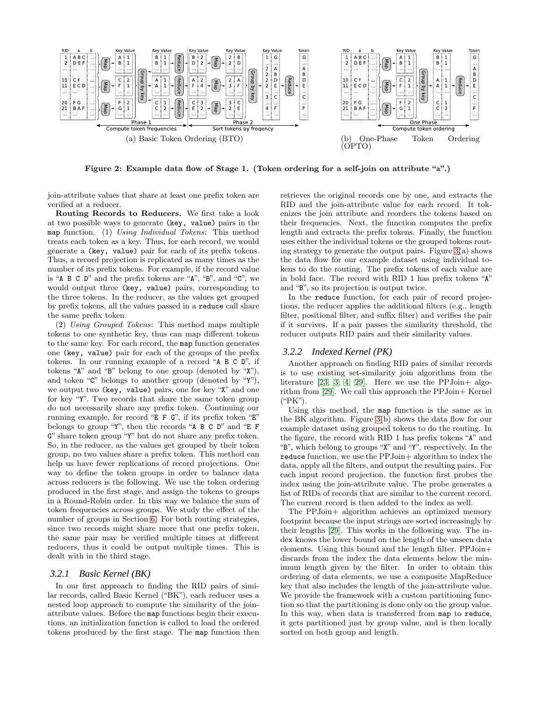

<span id="page-3-0"></span>Figure 2: Example data flow of Stage 1. (Token ordering for a self-join on attribute "a".)

join-attribute values that share at least one prefix token are verified at a reducer.

Routing Records to Reducers. We first take a look at two possible ways to generate (key, value) pairs in the map function. (1) Using Individual Tokens: This method treats each token as a key. Thus, for each record, we would generate a (key, value) pair for each of its prefix tokens. Thus, a record projection is replicated as many times as the number of its prefix tokens. For example, if the record value is "A B C D" and the prefix tokens are "A", "B", and "C", we would output three (key, value) pairs, corresponding to the three tokens. In the reducer, as the values get grouped by prefix tokens, all the values passed in a reduce call share the same prefix token.

(2) Using Grouped Tokens: This method maps multiple tokens to one synthetic key, thus can map different tokens to the same key. For each record, the map function generates one (key, value) pair for each of the groups of the prefix tokens. In our running example of a record "A B C D", if tokens "A" and "B" belong to one group (denoted by "X"), and token "C" belongs to another group (denoted by "Y"), we output two (key, value) pairs, one for key "X" and one for key "Y". Two records that share the same token group do not necessarily share any prefix token. Continuing our running example, for record "E F G", if its prefix token "E" belongs to group "Y", then the records "A B C D" and "E F G" share token group "Y" but do not share any prefix token. So, in the reducer, as the values get grouped by their token group, no two values share a prefix token. This method can help us have fewer replications of record projections. One way to define the token groups in order to balance data across reducers is the following. We use the token ordering produced in the first stage, and assign the tokens to groups in a Round-Robin order. In this way we balance the sum of token frequencies across groups. We study the effect of the number of groups in Section [6.](#page-6-1) For both routing strategies, since two records might share more that one prefix token, the same pair may be verified multiple times at different reducers, thus it could be output multiple times. This is dealt with in the third stage.

#### *3.2.1 Basic Kernel (BK)*

In our first approach to finding the RID pairs of similar records, called Basic Kernel ("BK"), each reducer uses a nested loop approach to compute the similarity of the joinattribute values. Before the map functions begin their executions, an initialization function is called to load the ordered tokens produced by the first stage. The map function then retrieves the original records one by one, and extracts the RID and the join-attribute value for each record. It tokenizes the join attribute and reorders the tokens based on their frequencies. Next, the function computes the prefix length and extracts the prefix tokens. Finally, the function uses either the individual tokens or the grouped tokens routing strategy to generate the output pairs. Figure  $3(a)$  shows the data flow for our example dataset using individual tokens to do the routing. The prefix tokens of each value are in bold face. The record with RID 1 has prefix tokens "A" and "B", so its projection is output twice.

In the reduce function, for each pair of record projections, the reducer applies the additional filters (e.g., length filter, positional filter, and suffix filter) and verifies the pair if it survives. If a pair passes the similarity threshold, the reducer outputs RID pairs and their similarity values.

#### *3.2.2 Indexed Kernel (PK)*

Another approach on finding RID pairs of similar records is to use existing set-similarity join algorithms from the literature  $[23, 3, 4, 29]$  $[23, 3, 4, 29]$  $[23, 3, 4, 29]$  $[23, 3, 4, 29]$ . Here we use the PPJoin+ algorithm from [\[29\]](#page-11-17). We call this approach the PPJoin+ Kernel ("PK").

Using this method, the map function is the same as in the BK algorithm. Figure [3\(](#page-4-1)b) shows the data flow for our example dataset using grouped tokens to do the routing. In the figure, the record with RID 1 has prefix tokens "A" and "B", which belong to groups "X" and " $Y$ ", respectively. In the reduce function, we use the PPJoin+ algorithm to index the data, apply all the filters, and output the resulting pairs. For each input record projection, the function first probes the index using the join-attribute value. The probe generates a list of RIDs of records that are similar to the current record. The current record is then added to the index as well.

The PPJoin+ algorithm achieves an optimized memory footprint because the input strings are sorted increasingly by their lengths [\[29\]](#page-11-17). This works in the following way. The index knows the lower bound on the length of the unseen data elements. Using this bound and the length filter, PPJoin+ discards from the index the data elements below the minimum length given by the filter. In order to obtain this ordering of data elements, we use a composite MapReduce key that also includes the length of the join-attribute value. We provide the framework with a custom partitioning function so that the partitioning is done only on the group value. In this way, when data is transferred from map to reduce, it gets partitioned just by group value, and is then locally sorted on both group and length.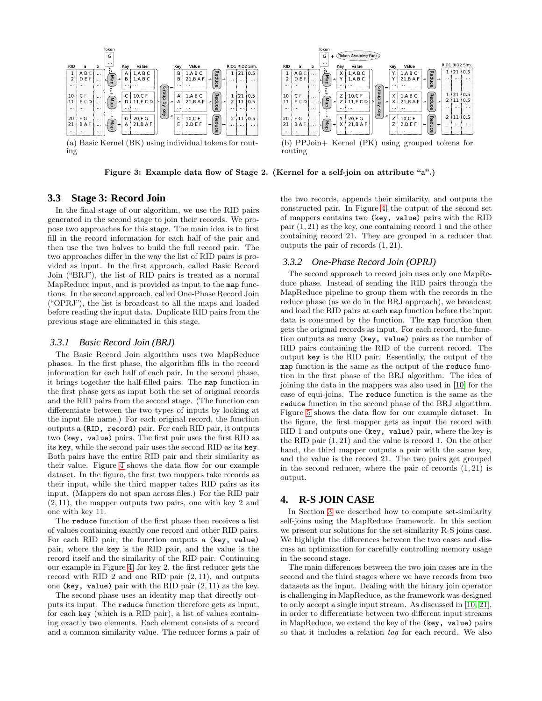

(a) Basic Kernel (BK) using individual tokens for routing

<span id="page-4-1"></span>

routing

## **3.3 Stage 3: Record Join**

In the final stage of our algorithm, we use the RID pairs generated in the second stage to join their records. We propose two approaches for this stage. The main idea is to first fill in the record information for each half of the pair and then use the two halves to build the full record pair. The two approaches differ in the way the list of RID pairs is provided as input. In the first approach, called Basic Record Join ("BRJ"), the list of RID pairs is treated as a normal MapReduce input, and is provided as input to the map functions. In the second approach, called One-Phase Record Join ("OPRJ"), the list is broadcast to all the maps and loaded before reading the input data. Duplicate RID pairs from the previous stage are eliminated in this stage.

#### *3.3.1 Basic Record Join (BRJ)*

The Basic Record Join algorithm uses two MapReduce phases. In the first phase, the algorithm fills in the record information for each half of each pair. In the second phase, it brings together the half-filled pairs. The map function in the first phase gets as input both the set of original records and the RID pairs from the second stage. (The function can differentiate between the two types of inputs by looking at the input file name.) For each original record, the function outputs a (RID, record) pair. For each RID pair, it outputs two (key, value) pairs. The first pair uses the first RID as its key, while the second pair uses the second RID as its key. Both pairs have the entire RID pair and their similarity as their value. Figure [4](#page-5-0) shows the data flow for our example dataset. In the figure, the first two mappers take records as their input, while the third mapper takes RID pairs as its input. (Mappers do not span across files.) For the RID pair (2, 11), the mapper outputs two pairs, one with key 2 and one with key 11.

The reduce function of the first phase then receives a list of values containing exactly one record and other RID pairs. For each RID pair, the function outputs a (key, value) pair, where the key is the RID pair, and the value is the record itself and the similarity of the RID pair. Continuing our example in Figure [4,](#page-5-0) for key 2, the first reducer gets the record with RID 2 and one RID pair  $(2, 11)$ , and outputs one (key, value) pair with the RID pair  $(2, 11)$  as the key.

The second phase uses an identity map that directly outputs its input. The reduce function therefore gets as input, for each key (which is a RID pair), a list of values containing exactly two elements. Each element consists of a record and a common similarity value. The reducer forms a pair of the two records, appends their similarity, and outputs the constructed pair. In Figure [4,](#page-5-0) the output of the second set of mappers contains two (key, value) pairs with the RID pair (1, 21) as the key, one containing record 1 and the other containing record 21. They are grouped in a reducer that outputs the pair of records (1, 21).

#### <span id="page-4-2"></span>*3.3.2 One-Phase Record Join (OPRJ)*

The second approach to record join uses only one MapReduce phase. Instead of sending the RID pairs through the MapReduce pipeline to group them with the records in the reduce phase (as we do in the BRJ approach), we broadcast and load the RID pairs at each map function before the input data is consumed by the function. The map function then gets the original records as input. For each record, the function outputs as many (key, value) pairs as the number of RID pairs containing the RID of the current record. The output key is the RID pair. Essentially, the output of the map function is the same as the output of the reduce function in the first phase of the BRJ algorithm. The idea of joining the data in the mappers was also used in [\[10\]](#page-11-20) for the case of equi-joins. The reduce function is the same as the reduce function in the second phase of the BRJ algorithm. Figure [5](#page-5-1) shows the data flow for our example dataset. In the figure, the first mapper gets as input the record with RID 1 and outputs one (key, value) pair, where the key is the RID pair (1, 21) and the value is record 1. On the other hand, the third mapper outputs a pair with the same key, and the value is the record 21. The two pairs get grouped in the second reducer, where the pair of records  $(1, 21)$  is output.

#### <span id="page-4-0"></span>**4. R-S JOIN CASE**

In Section [3](#page-2-0) we described how to compute set-similarity self-joins using the MapReduce framework. In this section we present our solutions for the set-similarity R-S joins case. We highlight the differences between the two cases and discuss an optimization for carefully controlling memory usage in the second stage.

The main differences between the two join cases are in the second and the third stages where we have records from two datasets as the input. Dealing with the binary join operator is challenging in MapReduce, as the framework was designed to only accept a single input stream. As discussed in [\[10,](#page-11-20) [21\]](#page-11-14), in order to differentiate between two different input streams in MapReduce, we extend the key of the (key, value) pairs so that it includes a relation tag for each record. We also

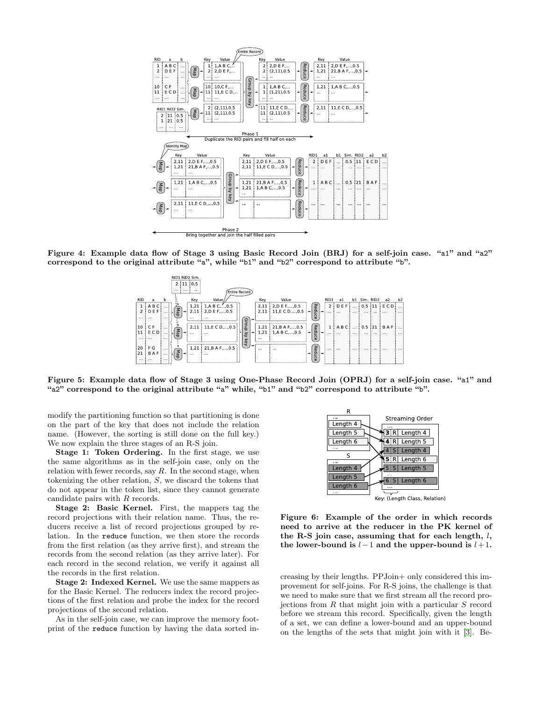

<span id="page-5-0"></span>Figure 4: Example data flow of Stage 3 using Basic Record Join (BRJ) for a self-join case. "a1" and "a2" correspond to the original attribute "a", while "b1" and "b2" correspond to attribute "b".



<span id="page-5-1"></span>Figure 5: Example data flow of Stage 3 using One-Phase Record Join (OPRJ) for a self-join case. "a1" and "a2" correspond to the original attribute "a" while, "b1" and "b2" correspond to attribute "b".

modify the partitioning function so that partitioning is done on the part of the key that does not include the relation name. (However, the sorting is still done on the full key.) We now explain the three stages of an R-S join.

Stage 1: Token Ordering. In the first stage, we use the same algorithms as in the self-join case, only on the relation with fewer records, say  $R$ . In the second stage, when tokenizing the other relation, S, we discard the tokens that do not appear in the token list, since they cannot generate candidate pairs with R records.

Stage 2: Basic Kernel. First, the mappers tag the record projections with their relation name. Thus, the reducers receive a list of record projections grouped by relation. In the reduce function, we then store the records from the first relation (as they arrive first), and stream the records from the second relation (as they arrive later). For each record in the second relation, we verify it against all the records in the first relation.

Stage 2: Indexed Kernel. We use the same mappers as for the Basic Kernel. The reducers index the record projections of the first relation and probe the index for the record projections of the second relation.

As in the self-join case, we can improve the memory footprint of the reduce function by having the data sorted in-



<span id="page-5-2"></span>Figure 6: Example of the order in which records need to arrive at the reducer in the PK kernel of the R-S join case, assuming that for each length,  $l$ , the lower-bound is  $l-1$  and the upper-bound is  $l+1$ .

creasing by their lengths. PPJoin+ only considered this improvement for self-joins. For R-S joins, the challenge is that we need to make sure that we first stream all the record projections from  $R$  that might join with a particular  $S$  record before we stream this record. Specifically, given the length of a set, we can define a lower-bound and an upper-bound on the lengths of the sets that might join with it [\[3\]](#page-11-18). Be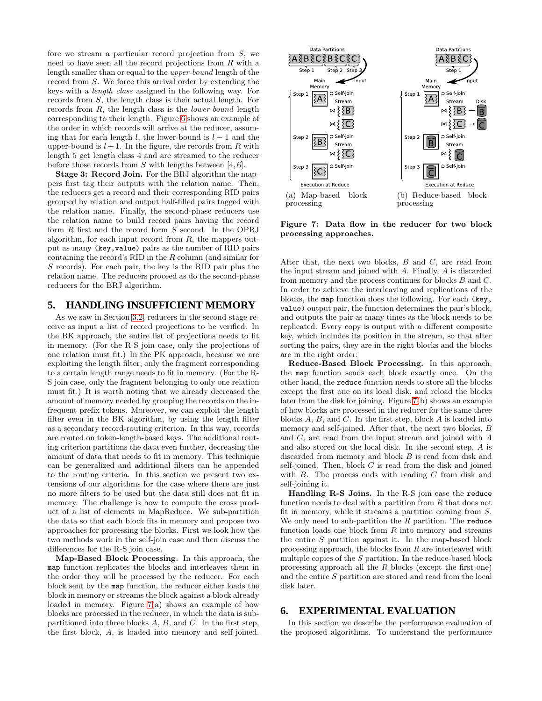fore we stream a particular record projection from S, we need to have seen all the record projections from R with a length smaller than or equal to the upper-bound length of the record from S. We force this arrival order by extending the keys with a length class assigned in the following way. For records from S, the length class is their actual length. For records from R, the length class is the *lower-bound* length corresponding to their length. Figure [6](#page-5-2) shows an example of the order in which records will arrive at the reducer, assuming that for each length l, the lower-bound is  $l-1$  and the upper-bound is  $l + 1$ . In the figure, the records from R with length 5 get length class 4 and are streamed to the reducer before those records from  $S$  with lengths between [4, 6].

Stage 3: Record Join. For the BRJ algorithm the mappers first tag their outputs with the relation name. Then, the reducers get a record and their corresponding RID pairs grouped by relation and output half-filled pairs tagged with the relation name. Finally, the second-phase reducers use the relation name to build record pairs having the record form R first and the record form S second. In the OPRJ algorithm, for each input record from  $R$ , the mappers output as many (key,value) pairs as the number of RID pairs containing the record's RID in the R column (and similar for  $S$  records). For each pair, the key is the RID pair plus the relation name. The reducers proceed as do the second-phase reducers for the BRJ algorithm.

## <span id="page-6-0"></span>**5. HANDLING INSUFFICIENT MEMORY**

As we saw in Section [3.2,](#page-2-2) reducers in the second stage receive as input a list of record projections to be verified. In the BK approach, the entire list of projections needs to fit in memory. (For the R-S join case, only the projections of one relation must fit.) In the PK approach, because we are exploiting the length filter, only the fragment corresponding to a certain length range needs to fit in memory. (For the R-S join case, only the fragment belonging to only one relation must fit.) It is worth noting that we already decreased the amount of memory needed by grouping the records on the infrequent prefix tokens. Moreover, we can exploit the length filter even in the BK algorithm, by using the length filter as a secondary record-routing criterion. In this way, records are routed on token-length-based keys. The additional routing criterion partitions the data even further, decreasing the amount of data that needs to fit in memory. This technique can be generalized and additional filters can be appended to the routing criteria. In this section we present two extensions of our algorithms for the case where there are just no more filters to be used but the data still does not fit in memory. The challenge is how to compute the cross product of a list of elements in MapReduce. We sub-partition the data so that each block fits in memory and propose two approaches for processing the blocks. First we look how the two methods work in the self-join case and then discuss the differences for the R-S join case.

Map-Based Block Processing. In this approach, the map function replicates the blocks and interleaves them in the order they will be processed by the reducer. For each block sent by the map function, the reducer either loads the block in memory or streams the block against a block already loaded in memory. Figure [7\(](#page-6-2)a) shows an example of how blocks are processed in the reducer, in which the data is subpartitioned into three blocks  $A, B$ , and  $C$ . In the first step, the first block, A, is loaded into memory and self-joined.



<span id="page-6-2"></span>Figure 7: Data flow in the reducer for two block processing approaches.

After that, the next two blocks, B and C, are read from the input stream and joined with A. Finally, A is discarded from memory and the process continues for blocks B and C. In order to achieve the interleaving and replications of the blocks, the map function does the following. For each (key, value) output pair, the function determines the pair's block, and outputs the pair as many times as the block needs to be replicated. Every copy is output with a different composite key, which includes its position in the stream, so that after sorting the pairs, they are in the right blocks and the blocks are in the right order.

Reduce-Based Block Processing. In this approach, the map function sends each block exactly once. On the other hand, the reduce function needs to store all the blocks except the first one on its local disk, and reload the blocks later from the disk for joining. Figure [7\(](#page-6-2)b) shows an example of how blocks are processed in the reducer for the same three blocks  $A, B$ , and  $C$ . In the first step, block  $A$  is loaded into memory and self-joined. After that, the next two blocks, B and C, are read from the input stream and joined with A and also stored on the local disk. In the second step, A is discarded from memory and block B is read from disk and self-joined. Then, block  $C$  is read from the disk and joined with B. The process ends with reading C from disk and self-joining it.

Handling R-S Joins. In the R-S join case the reduce function needs to deal with a partition from R that does not fit in memory, while it streams a partition coming from S. We only need to sub-partition the  $R$  partition. The reduce function loads one block from  $R$  into memory and streams the entire  $S$  partition against it. In the map-based block processing approach, the blocks from R are interleaved with multiple copies of the  $S$  partition. In the reduce-based block processing approach all the  $R$  blocks (except the first one) and the entire S partition are stored and read from the local disk later.

## <span id="page-6-1"></span>**6. EXPERIMENTAL EVALUATION**

In this section we describe the performance evaluation of the proposed algorithms. To understand the performance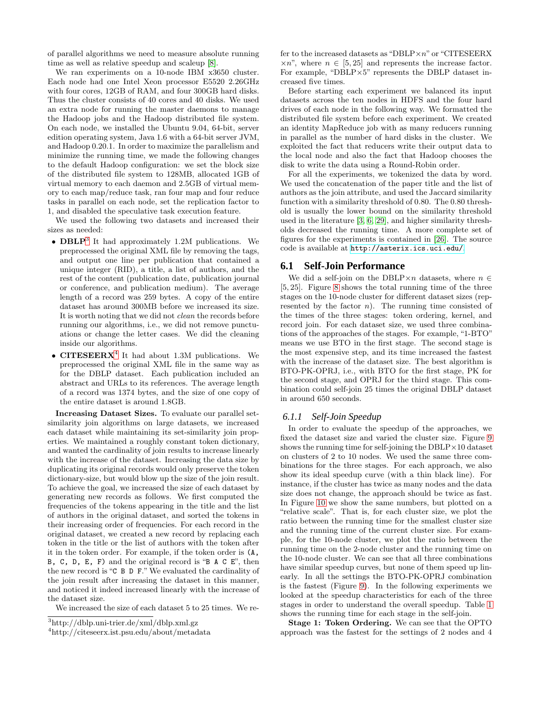of parallel algorithms we need to measure absolute running time as well as relative speedup and scaleup [\[8\]](#page-11-13).

We ran experiments on a 10-node IBM x3650 cluster. Each node had one Intel Xeon processor E5520 2.26GHz with four cores, 12GB of RAM, and four 300GB hard disks. Thus the cluster consists of 40 cores and 40 disks. We used an extra node for running the master daemons to manage the Hadoop jobs and the Hadoop distributed file system. On each node, we installed the Ubuntu 9.04, 64-bit, server edition operating system, Java 1.6 with a 64-bit server JVM, and Hadoop 0.20.1. In order to maximize the parallelism and minimize the running time, we made the following changes to the default Hadoop configuration: we set the block size of the distributed file system to 128MB, allocated 1GB of virtual memory to each daemon and 2.5GB of virtual memory to each map/reduce task, ran four map and four reduce tasks in parallel on each node, set the replication factor to 1, and disabled the speculative task execution feature.

We used the following two datasets and increased their sizes as needed:

- **DBLP**<sup>[3](#page-7-0)</sup> It had approximately 1.2M publications. We preprocessed the original XML file by removing the tags, and output one line per publication that contained a unique integer (RID), a title, a list of authors, and the rest of the content (publication date, publication journal or conference, and publication medium). The average length of a record was 259 bytes. A copy of the entire dataset has around 300MB before we increased its size. It is worth noting that we did not clean the records before running our algorithms, i.e., we did not remove punctuations or change the letter cases. We did the cleaning inside our algorithms.
- CITESEER $X^4$  $X^4$  It had about 1.3M publications. We preprocessed the original XML file in the same way as for the DBLP dataset. Each publication included an abstract and URLs to its references. The average length of a record was 1374 bytes, and the size of one copy of the entire dataset is around 1.8GB.

Increasing Dataset Sizes. To evaluate our parallel setsimilarity join algorithms on large datasets, we increased each dataset while maintaining its set-similarity join properties. We maintained a roughly constant token dictionary, and wanted the cardinality of join results to increase linearly with the increase of the dataset. Increasing the data size by duplicating its original records would only preserve the token dictionary-size, but would blow up the size of the join result. To achieve the goal, we increased the size of each dataset by generating new records as follows. We first computed the frequencies of the tokens appearing in the title and the list of authors in the original dataset, and sorted the tokens in their increasing order of frequencies. For each record in the original dataset, we created a new record by replacing each token in the title or the list of authors with the token after it in the token order. For example, if the token order is (A, B, C, D, E, F) and the original record is "B A C E", then the new record is "C B D F."We evaluated the cardinality of the join result after increasing the dataset in this manner, and noticed it indeed increased linearly with the increase of the dataset size.

We increased the size of each dataset 5 to 25 times. We re-

fer to the increased datasets as "DBLP $\times n$ " or "CITESEERX  $\times n$ ", where  $n \in [5, 25]$  and represents the increase factor. For example, "DBLP $\times$ 5" represents the DBLP dataset increased five times.

Before starting each experiment we balanced its input datasets across the ten nodes in HDFS and the four hard drives of each node in the following way. We formatted the distributed file system before each experiment. We created an identity MapReduce job with as many reducers running in parallel as the number of hard disks in the cluster. We exploited the fact that reducers write their output data to the local node and also the fact that Hadoop chooses the disk to write the data using a Round-Robin order.

For all the experiments, we tokenized the data by word. We used the concatenation of the paper title and the list of authors as the join attribute, and used the Jaccard similarity function with a similarity threshold of 0.80. The 0.80 threshold is usually the lower bound on the similarity threshold used in the literature [\[3,](#page-11-18) [6,](#page-11-15) [29\]](#page-11-17), and higher similarity thresholds decreased the running time. A more complete set of figures for the experiments is contained in [\[26\]](#page-11-10). The source code is available at <http://asterix.ics.uci.edu/>.

#### **6.1 Self-Join Performance**

We did a self-join on the DBLP×n datasets, where  $n \in$ [5, 25]. Figure [8](#page-8-0) shows the total running time of the three stages on the 10-node cluster for different dataset sizes (represented by the factor  $n$ ). The running time consisted of the times of the three stages: token ordering, kernel, and record join. For each dataset size, we used three combinations of the approaches of the stages. For example, "1-BTO" means we use BTO in the first stage. The second stage is the most expensive step, and its time increased the fastest with the increase of the dataset size. The best algorithm is BTO-PK-OPRJ, i.e., with BTO for the first stage, PK for the second stage, and OPRJ for the third stage. This combination could self-join 25 times the original DBLP dataset in around 650 seconds.

#### *6.1.1 Self-Join Speedup*

In order to evaluate the speedup of the approaches, we fixed the dataset size and varied the cluster size. Figure [9](#page-8-1) shows the running time for self-joining the  $DBLP \times 10$  dataset on clusters of 2 to 10 nodes. We used the same three combinations for the three stages. For each approach, we also show its ideal speedup curve (with a thin black line). For instance, if the cluster has twice as many nodes and the data size does not change, the approach should be twice as fast. In Figure [10](#page-8-2) we show the same numbers, but plotted on a "relative scale". That is, for each cluster size, we plot the ratio between the running time for the smallest cluster size and the running time of the current cluster size. For example, for the 10-node cluster, we plot the ratio between the running time on the 2-node cluster and the running time on the 10-node cluster. We can see that all three combinations have similar speedup curves, but none of them speed up linearly. In all the settings the BTO-PK-OPRJ combination is the fastest (Figure [9\)](#page-8-1). In the following experiments we looked at the speedup characteristics for each of the three stages in order to understand the overall speedup. Table [1](#page-8-3) shows the running time for each stage in the self-join.

Stage 1: Token Ordering. We can see that the OPTO approach was the fastest for the settings of 2 nodes and 4

<sup>3</sup>http://dblp.uni-trier.de/xml/dblp.xml.gz

<span id="page-7-1"></span><span id="page-7-0"></span><sup>4</sup>http://citeseerx.ist.psu.edu/about/metadata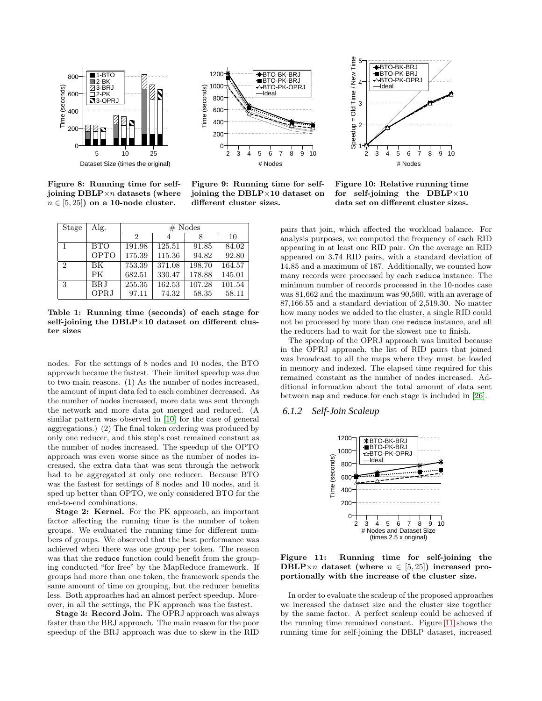

<span id="page-8-0"></span>Figure 8: Running time for selfjoining  $DBLP\times n$  datasets (where  $n \in [5, 25]$  on a 10-node cluster.



<span id="page-8-1"></span>Figure 9: Running time for selfjoining the DBLP×10 dataset on different cluster sizes.



<span id="page-8-2"></span>Figure 10: Relative running time for self-joining the  $DBLP \times 10$ data set on different cluster sizes.

| <b>Stage</b>   | Alg.        | $#$ Nodes |        |        |        |  |
|----------------|-------------|-----------|--------|--------|--------|--|
|                |             | 2         |        | 8      | 10     |  |
| 1              | <b>BTO</b>  | 191.98    | 125.51 | 91.85  | 84.02  |  |
|                | <b>OPTO</b> | 175.39    | 115.36 | 94.82  | 92.80  |  |
| $\mathfrak{D}$ | <b>BK</b>   | 753.39    | 371.08 | 198.70 | 164.57 |  |
|                | PK.         | 682.51    | 330.47 | 178.88 | 145.01 |  |
| 3              | <b>BRJ</b>  | 255.35    | 162.53 | 107.28 | 101.54 |  |
|                | OPRJ        | 97.11     | 74.32  | 58.35  | 58.11  |  |

<span id="page-8-3"></span>Table 1: Running time (seconds) of each stage for self-joining the  $DBLP \times 10$  dataset on different cluster sizes

nodes. For the settings of 8 nodes and 10 nodes, the BTO approach became the fastest. Their limited speedup was due to two main reasons. (1) As the number of nodes increased, the amount of input data fed to each combiner decreased. As the number of nodes increased, more data was sent through the network and more data got merged and reduced. (A similar pattern was observed in [\[10\]](#page-11-20) for the case of general aggregations.) (2) The final token ordering was produced by only one reducer, and this step's cost remained constant as the number of nodes increased. The speedup of the OPTO approach was even worse since as the number of nodes increased, the extra data that was sent through the network had to be aggregated at only one reducer. Because BTO was the fastest for settings of 8 nodes and 10 nodes, and it sped up better than OPTO, we only considered BTO for the end-to-end combinations.

Stage 2: Kernel. For the PK approach, an important factor affecting the running time is the number of token groups. We evaluated the running time for different numbers of groups. We observed that the best performance was achieved when there was one group per token. The reason was that the reduce function could benefit from the grouping conducted "for free" by the MapReduce framework. If groups had more than one token, the framework spends the same amount of time on grouping, but the reducer benefits less. Both approaches had an almost perfect speedup. Moreover, in all the settings, the PK approach was the fastest.

Stage 3: Record Join. The OPRJ approach was always faster than the BRJ approach. The main reason for the poor speedup of the BRJ approach was due to skew in the RID pairs that join, which affected the workload balance. For analysis purposes, we computed the frequency of each RID appearing in at least one RID pair. On the average an RID appeared on 3.74 RID pairs, with a standard deviation of 14.85 and a maximum of 187. Additionally, we counted how many records were processed by each reduce instance. The minimum number of records processed in the 10-nodes case was 81,662 and the maximum was 90,560, with an average of 87,166.55 and a standard deviation of 2,519.30. No matter how many nodes we added to the cluster, a single RID could not be processed by more than one reduce instance, and all the reducers had to wait for the slowest one to finish.

The speedup of the OPRJ approach was limited because in the OPRJ approach, the list of RID pairs that joined was broadcast to all the maps where they must be loaded in memory and indexed. The elapsed time required for this remained constant as the number of nodes increased. Additional information about the total amount of data sent between map and reduce for each stage is included in [\[26\]](#page-11-10).

## *6.1.2 Self-Join Scaleup*



<span id="page-8-4"></span>Figure 11: Running time for self-joining the DBLP×n dataset (where  $n \in [5, 25]$ ) increased proportionally with the increase of the cluster size.

In order to evaluate the scaleup of the proposed approaches we increased the dataset size and the cluster size together by the same factor. A perfect scaleup could be achieved if the running time remained constant. Figure [11](#page-8-4) shows the running time for self-joining the DBLP dataset, increased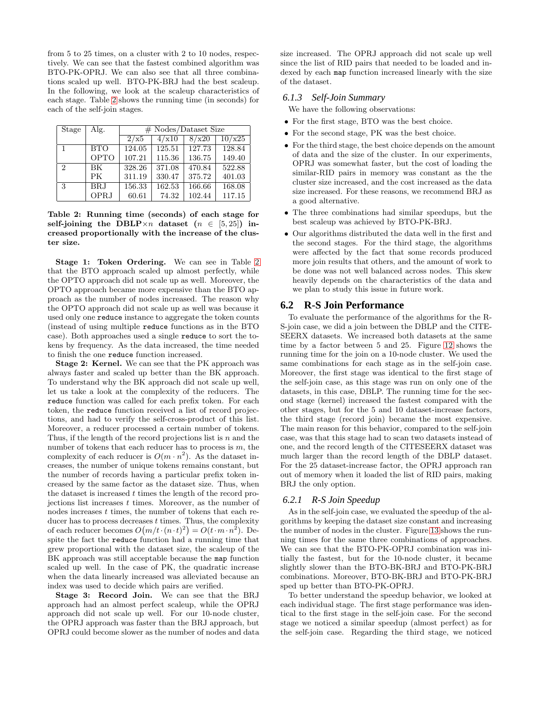from 5 to 25 times, on a cluster with 2 to 10 nodes, respectively. We can see that the fastest combined algorithm was BTO-PK-OPRJ. We can also see that all three combinations scaled up well. BTO-PK-BRJ had the best scaleup. In the following, we look at the scaleup characteristics of each stage. Table [2](#page-9-0) shows the running time (in seconds) for each of the self-join stages.

| Stage                       | Alg.       | $#$ Nodes/Dataset Size |        |        |        |  |
|-----------------------------|------------|------------------------|--------|--------|--------|--|
|                             |            | 2/x5                   | 4/x10  | 8/x20  | 10/x25 |  |
|                             | <b>BTO</b> | 124.05                 | 125.51 | 127.73 | 128.84 |  |
|                             | OPTO       | 107.21                 | 115.36 | 136.75 | 149.40 |  |
| $\mathcal{D}_{\mathcal{L}}$ | BK         | 328.26                 | 371.08 | 470.84 | 522.88 |  |
|                             | <b>PK</b>  | 311.19                 | 330.47 | 375.72 | 401.03 |  |
| 3                           | <b>BRJ</b> | 156.33                 | 162.53 | 166.66 | 168.08 |  |
|                             | OPRJ       | 60.61                  | 74.32  | 102.44 | 117.15 |  |

<span id="page-9-0"></span>Table 2: Running time (seconds) of each stage for self-joining the DBLP×n dataset  $(n \in [5, 25])$  increased proportionally with the increase of the cluster size.

Stage 1: Token Ordering. We can see in Table [2](#page-9-0) that the BTO approach scaled up almost perfectly, while the OPTO approach did not scale up as well. Moreover, the OPTO approach became more expensive than the BTO approach as the number of nodes increased. The reason why the OPTO approach did not scale up as well was because it used only one reduce instance to aggregate the token counts (instead of using multiple reduce functions as in the BTO case). Both approaches used a single reduce to sort the tokens by frequency. As the data increased, the time needed to finish the one reduce function increased.

Stage 2: Kernel. We can see that the PK approach was always faster and scaled up better than the BK approach. To understand why the BK approach did not scale up well, let us take a look at the complexity of the reducers. The reduce function was called for each prefix token. For each token, the reduce function received a list of record projections, and had to verify the self-cross-product of this list. Moreover, a reducer processed a certain number of tokens. Thus, if the length of the record projections list is  $n$  and the number of tokens that each reducer has to process is  $m$ , the complexity of each reducer is  $O(m \cdot n^2)$ . As the dataset increases, the number of unique tokens remains constant, but the number of records having a particular prefix token increased by the same factor as the dataset size. Thus, when the dataset is increased  $t$  times the length of the record projections list increases  $t$  times. Moreover, as the number of nodes increases  $t$  times, the number of tokens that each reducer has to process decreases  $t$  times. Thus, the complexity of each reducer becomes  $O(m/t \cdot (n \cdot t)^2) = O(t \cdot m \cdot n^2)$ . Despite the fact the reduce function had a running time that grew proportional with the dataset size, the scaleup of the BK approach was still acceptable because the map function scaled up well. In the case of PK, the quadratic increase when the data linearly increased was alleviated because an index was used to decide which pairs are verified.

Stage 3: Record Join. We can see that the BRJ approach had an almost perfect scaleup, while the OPRJ approach did not scale up well. For our 10-node cluster, the OPRJ approach was faster than the BRJ approach, but OPRJ could become slower as the number of nodes and data

size increased. The OPRJ approach did not scale up well since the list of RID pairs that needed to be loaded and indexed by each map function increased linearly with the size of the dataset.

#### *6.1.3 Self-Join Summary*

We have the following observations:

- For the first stage, BTO was the best choice.
- For the second stage, PK was the best choice.
- For the third stage, the best choice depends on the amount of data and the size of the cluster. In our experiments, OPRJ was somewhat faster, but the cost of loading the similar-RID pairs in memory was constant as the the cluster size increased, and the cost increased as the data size increased. For these reasons, we recommend BRJ as a good alternative.
- The three combinations had similar speedups, but the best scaleup was achieved by BTO-PK-BRJ.
- Our algorithms distributed the data well in the first and the second stages. For the third stage, the algorithms were affected by the fact that some records produced more join results that others, and the amount of work to be done was not well balanced across nodes. This skew heavily depends on the characteristics of the data and we plan to study this issue in future work.

## **6.2 R-S Join Performance**

To evaluate the performance of the algorithms for the R-S-join case, we did a join between the DBLP and the CITE-SEERX datasets. We increased both datasets at the same time by a factor between 5 and 25. Figure [12](#page-10-1) shows the running time for the join on a 10-node cluster. We used the same combinations for each stage as in the self-join case. Moreover, the first stage was identical to the first stage of the self-join case, as this stage was run on only one of the datasets, in this case, DBLP. The running time for the second stage (kernel) increased the fastest compared with the other stages, but for the 5 and 10 dataset-increase factors, the third stage (record join) became the most expensive. The main reason for this behavior, compared to the self-join case, was that this stage had to scan two datasets instead of one, and the record length of the CITESEERX dataset was much larger than the record length of the DBLP dataset. For the 25 dataset-increase factor, the OPRJ approach ran out of memory when it loaded the list of RID pairs, making BRJ the only option.

#### *6.2.1 R-S Join Speedup*

As in the self-join case, we evaluated the speedup of the algorithms by keeping the dataset size constant and increasing the number of nodes in the cluster. Figure [13](#page-10-2) shows the running times for the same three combinations of approaches. We can see that the BTO-PK-OPRJ combination was initially the fastest, but for the 10-node cluster, it became slightly slower than the BTO-BK-BRJ and BTO-PK-BRJ combinations. Moreover, BTO-BK-BRJ and BTO-PK-BRJ sped up better than BTO-PK-OPRJ.

To better understand the speedup behavior, we looked at each individual stage. The first stage performance was identical to the first stage in the self-join case. For the second stage we noticed a similar speedup (almost perfect) as for the self-join case. Regarding the third stage, we noticed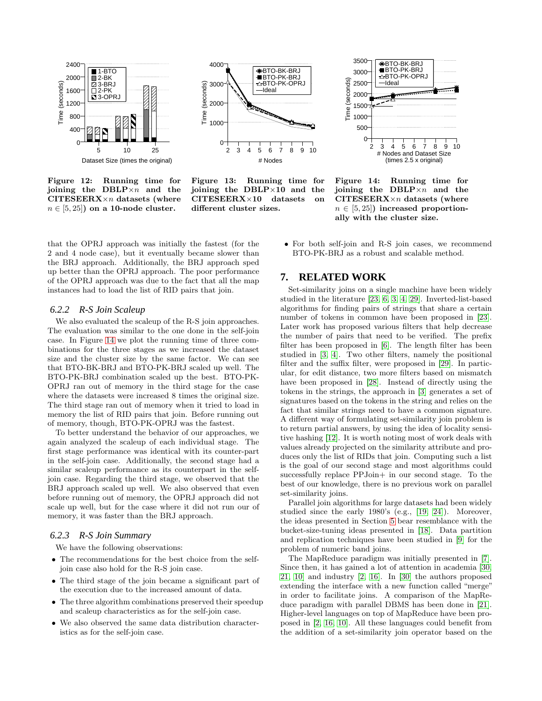

<span id="page-10-1"></span>Figure 12: Running time for joining the  $DBLP \times n$  and the CITESEERX $\times n$  datasets (where  $n \in [5, 25]$  on a 10-node cluster.



<span id="page-10-2"></span>Figure 13: Running time for joining the DBLP×10 and the CITESEERX×10 datasets on different cluster sizes.



<span id="page-10-3"></span>Figure 14: Running time for joining the  $DBLP \times n$  and the  $CITERX\times n$  datasets (where  $n \in [5, 25]$  increased proportionally with the cluster size.

that the OPRJ approach was initially the fastest (for the 2 and 4 node case), but it eventually became slower than the BRJ approach. Additionally, the BRJ approach sped up better than the OPRJ approach. The poor performance of the OPRJ approach was due to the fact that all the map instances had to load the list of RID pairs that join. • For both self-join and R-S join cases, we recommend

#### *6.2.2 R-S Join Scaleup*

We also evaluated the scaleup of the R-S join approaches. The evaluation was similar to the one done in the self-join case. In Figure [14](#page-10-3) we plot the running time of three combinations for the three stages as we increased the dataset size and the cluster size by the same factor. We can see that BTO-BK-BRJ and BTO-PK-BRJ scaled up well. The BTO-PK-BRJ combination scaled up the best. BTO-PK-OPRJ ran out of memory in the third stage for the case where the datasets were increased 8 times the original size. The third stage ran out of memory when it tried to load in memory the list of RID pairs that join. Before running out of memory, though, BTO-PK-OPRJ was the fastest.

To better understand the behavior of our approaches, we again analyzed the scaleup of each individual stage. The first stage performance was identical with its counter-part in the self-join case. Additionally, the second stage had a similar scaleup performance as its counterpart in the selfjoin case. Regarding the third stage, we observed that the BRJ approach scaled up well. We also observed that even before running out of memory, the OPRJ approach did not scale up well, but for the case where it did not run our of memory, it was faster than the BRJ approach.

#### *6.2.3 R-S Join Summary*

We have the following observations:

- The recommendations for the best choice from the selfjoin case also hold for the R-S join case.
- The third stage of the join became a significant part of the execution due to the increased amount of data.
- The three algorithm combinations preserved their speedup and scaleup characteristics as for the self-join case.
- We also observed the same data distribution characteristics as for the self-join case.

# BTO-PK-BRJ as a robust and scalable method.

## <span id="page-10-0"></span>**7. RELATED WORK**

Set-similarity joins on a single machine have been widely studied in the literature [\[23,](#page-11-19) [6,](#page-11-15) [3,](#page-11-18) [4,](#page-11-16) [29\]](#page-11-17). Inverted-list-based algorithms for finding pairs of strings that share a certain number of tokens in common have been proposed in [\[23\]](#page-11-19). Later work has proposed various filters that help decrease the number of pairs that need to be verified. The prefix filter has been proposed in [\[6\]](#page-11-15). The length filter has been studied in [\[3,](#page-11-18) [4\]](#page-11-16). Two other filters, namely the positional filter and the suffix filter, were proposed in [\[29\]](#page-11-17). In particular, for edit distance, two more filters based on mismatch have been proposed in [\[28\]](#page-11-21). Instead of directly using the tokens in the strings, the approach in [\[3\]](#page-11-18) generates a set of signatures based on the tokens in the string and relies on the fact that similar strings need to have a common signature. A different way of formulating set-similarity join problem is to return partial answers, by using the idea of locality sensitive hashing [\[12\]](#page-11-22). It is worth noting most of work deals with values already projected on the similarity attribute and produces only the list of RIDs that join. Computing such a list is the goal of our second stage and most algorithms could successfully replace PPJoin+ in our second stage. To the best of our knowledge, there is no previous work on parallel set-similarity joins.

Parallel join algorithms for large datasets had been widely studied since the early 1980's (e.g., [\[19,](#page-11-23) [24\]](#page-11-24)). Moreover, the ideas presented in Section [5](#page-6-0) bear resemblance with the bucket-size-tuning ideas presented in [\[18\]](#page-11-25). Data partition and replication techniques have been studied in [\[9\]](#page-11-26) for the problem of numeric band joins.

The MapReduce paradigm was initially presented in [\[7\]](#page-11-8). Since then, it has gained a lot of attention in academia [\[30,](#page-11-27) [21,](#page-11-14) [10\]](#page-11-20) and industry [\[2,](#page-11-28) [16\]](#page-11-29). In [\[30\]](#page-11-27) the authors proposed extending the interface with a new function called "merge" in order to facilitate joins. A comparison of the MapReduce paradigm with parallel DBMS has been done in [\[21\]](#page-11-14). Higher-level languages on top of MapReduce have been proposed in [\[2,](#page-11-28) [16,](#page-11-29) [10\]](#page-11-20). All these languages could benefit from the addition of a set-similarity join operator based on the